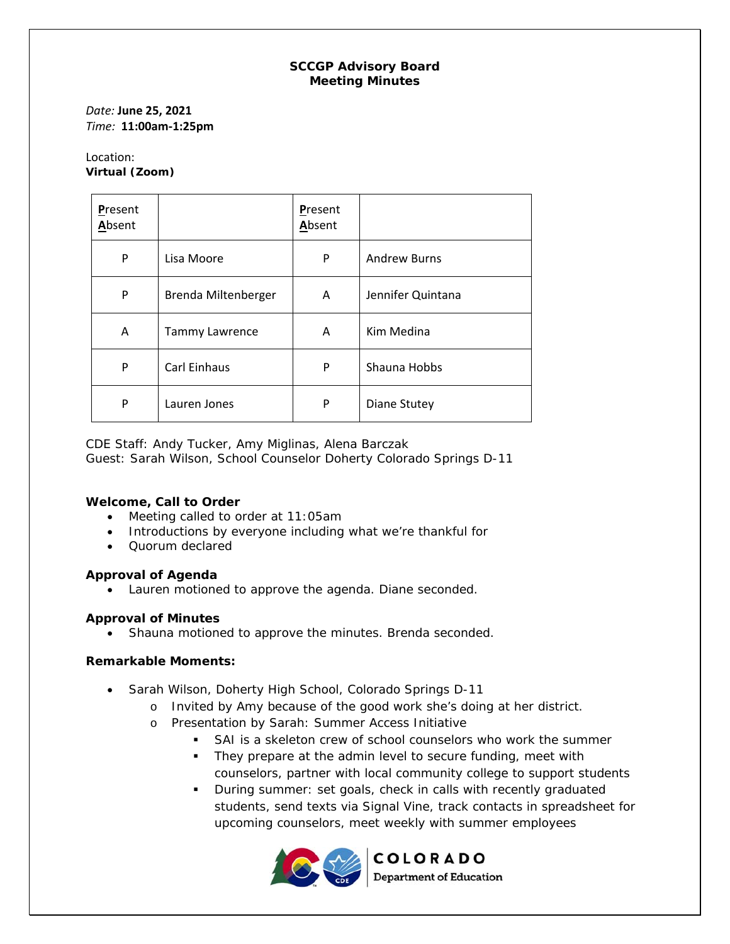## **SCCGP Advisory Board Meeting Minutes**

*Date:* **June 25, 2021** *Time:* **11:00am‐1:25pm** 

#### Location: **Virtual (Zoom)**

| Present<br>Absent |                       | Present<br>Absent |                     |
|-------------------|-----------------------|-------------------|---------------------|
| P                 | Lisa Moore            | P                 | <b>Andrew Burns</b> |
| P                 | Brenda Miltenberger   | A                 | Jennifer Quintana   |
| A                 | <b>Tammy Lawrence</b> | Α                 | Kim Medina          |
| P                 | Carl Einhaus          | P                 | Shauna Hobbs        |
| P                 | Lauren Jones          | P                 | Diane Stutey        |

CDE Staff: Andy Tucker, Amy Miglinas, Alena Barczak Guest: Sarah Wilson, School Counselor Doherty Colorado Springs D-11

## **Welcome, Call to Order**

- Meeting called to order at 11:05am
- Introductions by everyone including what we're thankful for
- Ouorum declared

## **Approval of Agenda**

Lauren motioned to approve the agenda. Diane seconded.

## **Approval of Minutes**

• Shauna motioned to approve the minutes. Brenda seconded.

## **Remarkable Moments:**

- Sarah Wilson, Doherty High School, Colorado Springs D-11
	- o Invited by Amy because of the good work she's doing at her district.
	- o Presentation by Sarah: Summer Access Initiative
		- SAI is a skeleton crew of school counselors who work the summer
		- **They prepare at the admin level to secure funding, meet with** counselors, partner with local community college to support students
		- upcoming counselors, meet weekly with summer employees **During summer: set goals, check in calls with recently graduated** students, send texts via Signal Vine, track contacts in spreadsheet for



**COLORADO Department of Education**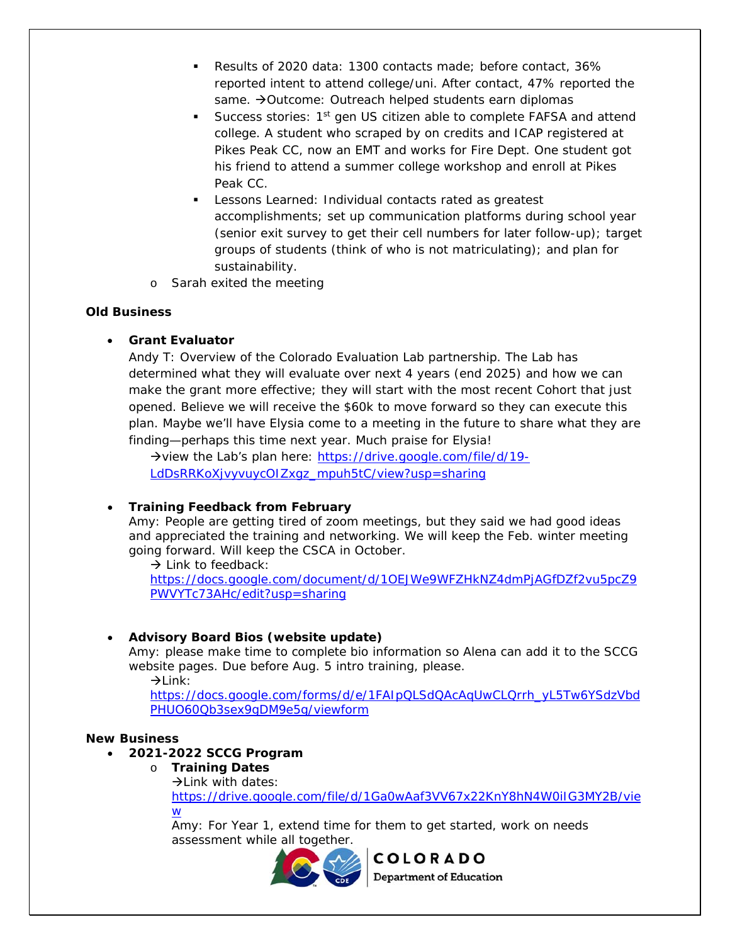- Results of 2020 data: 1300 contacts made; before contact, 36% reported intent to attend college/uni. After contact, 47% reported the same.  $\rightarrow$  Outcome: Outreach helped students earn diplomas
- his friend to attend a summer college workshop and enroll at Pikes Success stories: 1<sup>st</sup> gen US citizen able to complete FAFSA and attend college. A student who scraped by on credits and ICAP registered at Pikes Peak CC, now an EMT and works for Fire Dept. One student got Peak CC.
- Lessons Learned: Individual contacts rated as greatest accomplishments; set up communication platforms during school year (senior exit survey to get their cell numbers for later follow-up); target groups of students (think of who is not matriculating); and plan for sustainability.
- o Sarah exited the meeting

## **Old Business**

# **Grant Evaluator**

Andy T: Overview of the Colorado Evaluation Lab partnership. The Lab has determined what they will evaluate over next 4 years (end 2025) and how we can make the grant more effective; they will start with the most recent Cohort that just opened. Believe we will receive the \$60k to move forward so they can execute this plan. Maybe we'll have Elysia come to a meeting in the future to share what they are finding—perhaps this time next year. Much praise for Elysia!

 LdDsRRKoXjvyvuycOIZxgz\_mpuh5tC/view?usp=sharing  $\rightarrow$  view the Lab's plan here: https://drive.google.com/file/d/19-

# **Training Feedback from February**

 Amy: People are getting tired of zoom meetings, but they said we had good ideas and appreciated the training and networking. We will keep the Feb. winter meeting going forward. Will keep the CSCA in October.

 $\rightarrow$  Link to feedback:

 PWVYTc73AHc/edit?usp=sharing https://docs.google.com/document/d/1OEJWe9WFZHkNZ4dmPjAGfDZf2vu5pcZ9

# **Advisory Board Bios (website update)**

Amy: please make time to complete bio information so Alena can add it to the SCCG website pages. Due before Aug. 5 intro training, please.

 $\rightarrow$ Link:

 PHUO60Qb3sex9gDM9e5g/viewform https://docs.google.com/forms/d/e/1FAIpQLSdQAcAqUwCLQrrh\_yL5Tw6YSdzVbd

## **New Business**

# **2021-2022 SCCG Program**

- o **Training Dates** 
	- $\rightarrow$  Link with dates:

W https://drive.google.com/file/d/1Ga0wAaf3VV67x22KnY8hN4W0iIG3MY2B/vie

<u>w</u><br>Amy: For Year 1, extend time for them to get started, work on needs assessment while all together.



**Department of Education**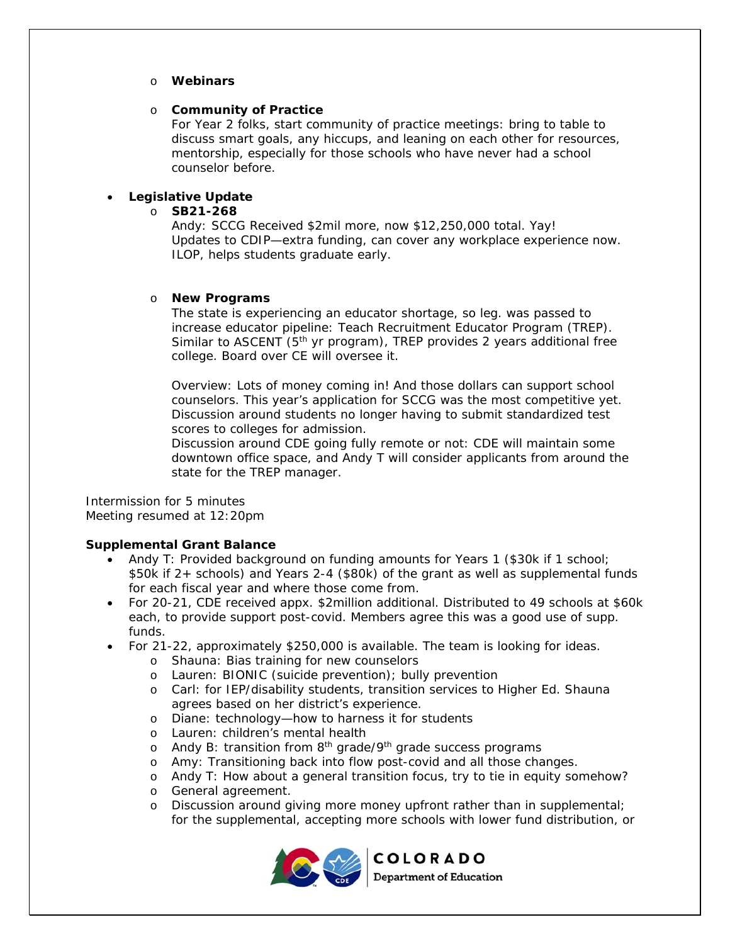#### o **Webinars**

## o **Community of Practice**

For Year 2 folks, start community of practice meetings: bring to table to discuss smart goals, any hiccups, and leaning on each other for resources, mentorship, especially for those schools who have never had a school counselor before.

## **Legislative Update**

o **SB21-268** 

Andy: SCCG Received \$2mil more, now \$12,250,000 total. Yay! Updates to CDIP—extra funding, can cover any workplace experience now. ILOP, helps students graduate early.

#### o **New Programs**

The state is experiencing an educator shortage, so leg. was passed to increase educator pipeline: Teach Recruitment Educator Program (TREP). Similar to ASCENT  $(5<sup>th</sup>$  yr program), TREP provides 2 years additional free college. Board over CE will oversee it.

 Discussion around students no longer having to submit standardized test Overview: Lots of money coming in! And those dollars can support school counselors. This year's application for SCCG was the most competitive yet. scores to colleges for admission.

Discussion around CDE going fully remote or not: CDE will maintain some downtown office space, and Andy T will consider applicants from around the state for the TREP manager.

Intermission for 5 minutes Meeting resumed at 12:20pm

## **Supplemental Grant Balance**

- for each fiscal year and where those come from. Andy T: Provided background on funding amounts for Years 1 (\$30k if 1 school; \$50k if 2+ schools) and Years 2-4 (\$80k) of the grant as well as supplemental funds
- For 20-21, CDE received appx. \$2million additional. Distributed to 49 schools at \$60k each, to provide support post-covid. Members agree this was a good use of supp. funds.
- For 21-22, approximately \$250,000 is available. The team is looking for ideas.
	- o Shauna: Bias training for new counselors
	- o Lauren: BIONIC (suicide prevention); bully prevention
	- o Carl: for IEP/disability students, transition services to Higher Ed. Shauna agrees based on her district's experience.
	- o Diane: technology—how to harness it for students
	- o Lauren: children's mental health
	- o Andy B: transition from 8<sup>th</sup> grade/9<sup>th</sup> grade success programs
	- o Amy: Transitioning back into flow post-covid and all those changes.
	- o Andy T: How about a general transition focus, try to tie in equity somehow?
	- o General agreement.
	- o Discussion around giving more money upfront rather than in supplemental; for the supplemental, accepting more schools with lower fund distribution, or



**COLORADO** 

**Department of Education**